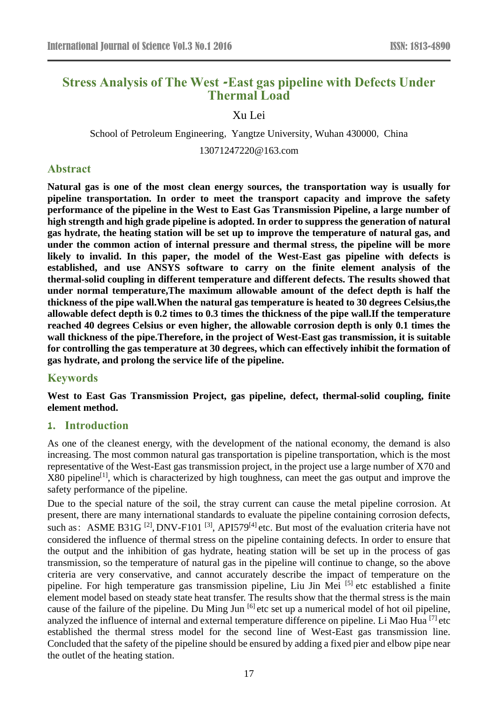# **Stress Analysis of The West -East gas pipeline with Defects Under Thermal Load**

### Xu Lei

School of Petroleum Engineering, Yangtze University, Wuhan 430000, China

13071247220@163.com

#### **Abstract**

**Natural gas is one of the most clean energy sources, the transportation way is usually for pipeline transportation. In order to meet the transport capacity and improve the safety performance of the pipeline in the West to East Gas Transmission Pipeline, a large number of high strength and high grade pipeline is adopted. In order to suppress the generation of natural gas hydrate, the heating station will be set up to improve the temperature of natural gas, and under the common action of internal pressure and thermal stress, the pipeline will be more likely to invalid. In this paper, the model of the West-East gas pipeline with defects is established, and use ANSYS software to carry on the finite element analysis of the thermal-solid coupling in different temperature and different defects. The results showed that under normal temperature,The maximum allowable amount of the defect depth is half the thickness of the pipe wall.When the natural gas temperature is heated to 30 degrees Celsius,the allowable defect depth is 0.2 times to 0.3 times the thickness of the pipe wall.If the temperature reached 40 degrees Celsius or even higher, the allowable corrosion depth is only 0.1 times the wall thickness of the pipe.Therefore, in the project of West-East gas transmission, it is suitable for controlling the gas temperature at 30 degrees, which can effectively inhibit the formation of gas hydrate, and prolong the service life of the pipeline.**

### **Keywords**

**West to East Gas Transmission Project, gas pipeline, defect, thermal-solid coupling, finite element method.** 

### **1. Introduction**

As one of the cleanest energy, with the development of the national economy, the demand is also increasing. The most common natural gas transportation is pipeline transportation, which is the most representative of the West-East gas transmission project, in the project use a large number of X70 and  $X80$  pipeline<sup>[1]</sup>, which is characterized by high toughness, can meet the gas output and improve the safety performance of the pipeline.

Due to the special nature of the soil, the stray current can cause the metal pipeline corrosion. At present, there are many international standards to evaluate the pipeline containing corrosion defects, such as: ASME B31G<sup>[2]</sup>, DNV-F101<sup>[3]</sup>, API579<sup>[4]</sup> etc. But most of the evaluation criteria have not considered the influence of thermal stress on the pipeline containing defects. In order to ensure that the output and the inhibition of gas hydrate, heating station will be set up in the process of gas transmission, so the temperature of natural gas in the pipeline will continue to change, so the above criteria are very conservative, and cannot accurately describe the impact of temperature on the pipeline. For high temperature gas transmission pipeline, Liu Jin Mei [5] etc established a finite element model based on steady state heat transfer. The results show that the thermal stress is the main cause of the failure of the pipeline. Du Ming Jun  $^{[6]}$  etc set up a numerical model of hot oil pipeline, analyzed the influence of internal and external temperature difference on pipeline. Li Mao Hua [7] etc established the thermal stress model for the second line of West-East gas transmission line. Concluded that the safety of the pipeline should be ensured by adding a fixed pier and elbow pipe near the outlet of the heating station.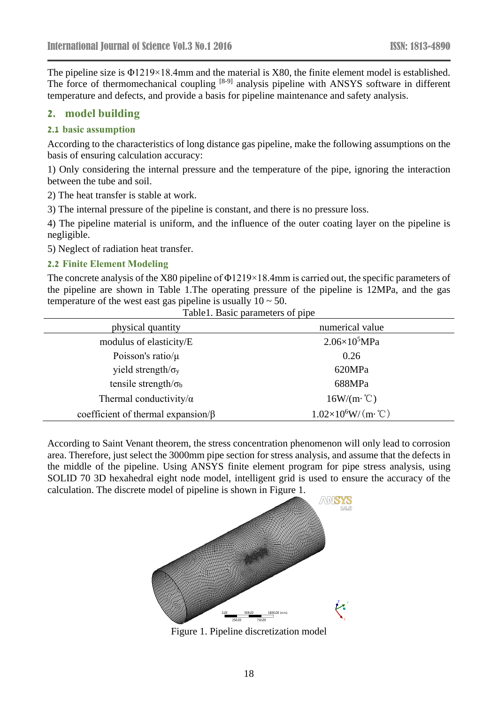The pipeline size is Φ1219×18.4mm and the material is X80, the finite element model is established. The force of thermomechanical coupling [8-9] analysis pipeline with ANSYS software in different temperature and defects, and provide a basis for pipeline maintenance and safety analysis.

# **2. model building**

### **2.1 basic assumption**

According to the characteristics of long distance gas pipeline, make the following assumptions on the basis of ensuring calculation accuracy:

1) Only considering the internal pressure and the temperature of the pipe, ignoring the interaction between the tube and soil.

2) The heat transfer is stable at work.

3) The internal pressure of the pipeline is constant, and there is no pressure loss.

4) The pipeline material is uniform, and the influence of the outer coating layer on the pipeline is negligible.

5) Neglect of radiation heat transfer.

#### **2.2 Finite Element Modeling**

The concrete analysis of the X80 pipeline of Φ1219×18.4mm is carried out, the specific parameters of the pipeline are shown in Table 1.The operating pressure of the pipeline is 12MPa, and the gas temperature of the west east gas pipeline is usually  $10 \sim 50$ . Table1. Basic parameters of pipe

| rabich. Dasie parameters of pipe          |                             |
|-------------------------------------------|-----------------------------|
| physical quantity                         | numerical value             |
| modulus of elasticity/E                   | $2.06\times10^5$ MPa        |
| Poisson's ratio/ $\mu$                    | 0.26                        |
| yield strength/ $\sigma_y$                | 620MPa                      |
| tensile strength/ $\sigma_b$              | 688MPa                      |
| Thermal conductivity/ $\alpha$            | $16W/(m \cdot C)$           |
| coefficient of thermal expansion/ $\beta$ | $1.02\times10^6$ W/(m · °C) |

According to Saint Venant theorem, the stress concentration phenomenon will only lead to corrosion area. Therefore, just select the 3000mm pipe section for stress analysis, and assume that the defects in the middle of the pipeline. Using ANSYS finite element program for pipe stress analysis, using SOLID 70 3D hexahedral eight node model, intelligent grid is used to ensure the accuracy of the calculation. The discrete model of pipeline is shown in Figure 1.



Figure 1. Pipeline discretization model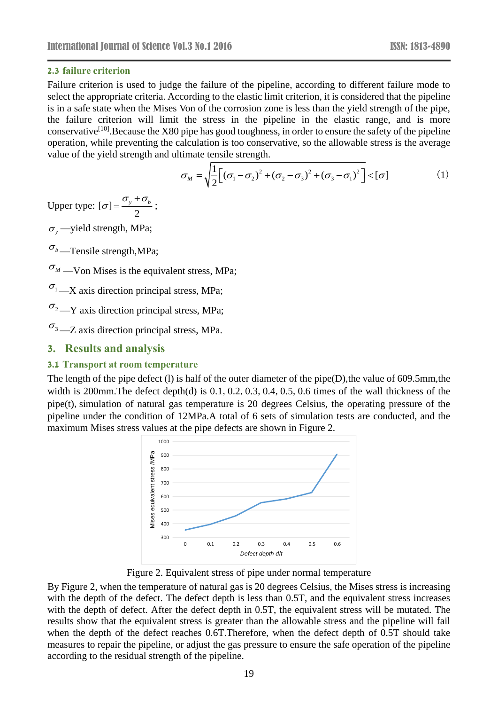### **2.3 failure criterion**

Failure criterion is used to judge the failure of the pipeline, according to different failure mode to select the appropriate criteria. According to the elastic limit criterion, it is considered that the pipeline is in a safe state when the Mises Von of the corrosion zone is less than the yield strength of the pipe, the failure criterion will limit the stress in the pipeline in the elastic range, and is more conservative<sup>[10]</sup>. Because the X80 pipe has good toughness, in order to ensure the safety of the pipeline operation, while preventing the calculation is too conservative, so the allowable stress is the average value of the yield strength and ultimate tensile strength.

$$
\sigma_M = \sqrt{\frac{1}{2} \left[ \left( \sigma_1 - \sigma_2 \right)^2 + \left( \sigma_2 - \sigma_3 \right)^2 + \left( \sigma_3 - \sigma_1 \right)^2 \right]} < [\sigma]
$$
 (1)

Upper type:  $[\sigma]$ 2  $\sigma$  =  $\frac{\sigma_y + \sigma_b}{\sigma_y}$  $=\frac{\sum_{y} \cdot \sum_{b}}{2}$ ;

 $\sigma_{y}$ —yield strength, MPa;

 $\sigma_{b}$ —Tensile strength,MPa;

 $\sigma_M$  —Von Mises is the equivalent stress, MPa;

 $\sigma_1$  —X axis direction principal stress, MPa;

 $\sigma_2$  —Y axis direction principal stress, MPa;

 $\sigma_3$  —Z axis direction principal stress, MPa.

# **3. Results and analysis**

# **3.1 Transport at room temperature**

The length of the pipe defect (l) is half of the outer diameter of the pipe(D),the value of 609.5mm,the width is 200mm. The defect depth(d) is 0.1, 0.2, 0.3, 0.4, 0.5, 0.6 times of the wall thickness of the pipe(t), simulation of natural gas temperature is 20 degrees Celsius, the operating pressure of the pipeline under the condition of 12MPa.A total of 6 sets of simulation tests are conducted, and the maximum Mises stress values at the pipe defects are shown in Figure 2.



Figure 2. Equivalent stress of pipe under normal temperature

By Figure 2, when the temperature of natural gas is 20 degrees Celsius, the Mises stress is increasing with the depth of the defect. The defect depth is less than 0.5T, and the equivalent stress increases with the depth of defect. After the defect depth in 0.5T, the equivalent stress will be mutated. The results show that the equivalent stress is greater than the allowable stress and the pipeline will fail when the depth of the defect reaches 0.6T.Therefore, when the defect depth of 0.5T should take measures to repair the pipeline, or adjust the gas pressure to ensure the safe operation of the pipeline according to the residual strength of the pipeline.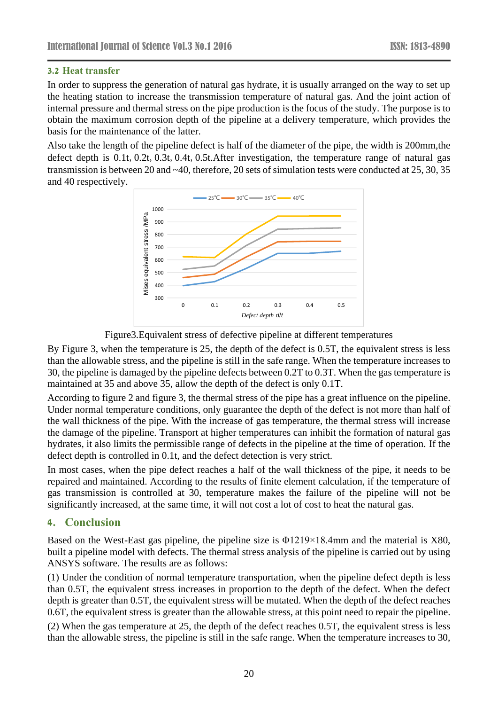### **3.2 Heat transfer**

In order to suppress the generation of natural gas hydrate, it is usually arranged on the way to set up the heating station to increase the transmission temperature of natural gas. And the joint action of internal pressure and thermal stress on the pipe production is the focus of the study. The purpose is to obtain the maximum corrosion depth of the pipeline at a delivery temperature, which provides the basis for the maintenance of the latter.

Also take the length of the pipeline defect is half of the diameter of the pipe, the width is 200mm,the defect depth is 0.1t,0.2t,0.3t,0.4t,0.5t.After investigation, the temperature range of natural gas transmission is between 20 and ~40, therefore, 20 sets of simulation tests were conducted at 25, 30, 35 and 40 respectively.



Figure3.Equivalent stress of defective pipeline at different temperatures

By Figure 3, when the temperature is 25, the depth of the defect is 0.5T, the equivalent stress is less than the allowable stress, and the pipeline is still in the safe range. When the temperature increases to 30, the pipeline is damaged by the pipeline defects between 0.2T to 0.3T. When the gas temperature is maintained at 35 and above 35, allow the depth of the defect is only 0.1T.

According to figure 2 and figure 3, the thermal stress of the pipe has a great influence on the pipeline. Under normal temperature conditions, only guarantee the depth of the defect is not more than half of the wall thickness of the pipe. With the increase of gas temperature, the thermal stress will increase the damage of the pipeline. Transport at higher temperatures can inhibit the formation of natural gas hydrates, it also limits the permissible range of defects in the pipeline at the time of operation. If the defect depth is controlled in 0.1t, and the defect detection is very strict.

In most cases, when the pipe defect reaches a half of the wall thickness of the pipe, it needs to be repaired and maintained. According to the results of finite element calculation, if the temperature of gas transmission is controlled at 30, temperature makes the failure of the pipeline will not be significantly increased, at the same time, it will not cost a lot of cost to heat the natural gas.

# **4. Conclusion**

Based on the West-East gas pipeline, the pipeline size is Φ1219×18.4mm and the material is X80, built a pipeline model with defects. The thermal stress analysis of the pipeline is carried out by using ANSYS software. The results are as follows:

(1) Under the condition of normal temperature transportation, when the pipeline defect depth is less than 0.5T, the equivalent stress increases in proportion to the depth of the defect. When the defect depth is greater than 0.5T, the equivalent stress will be mutated. When the depth of the defect reaches 0.6T, the equivalent stress is greater than the allowable stress, at this point need to repair the pipeline.

(2) When the gas temperature at 25, the depth of the defect reaches 0.5T, the equivalent stress is less than the allowable stress, the pipeline is still in the safe range. When the temperature increases to 30,